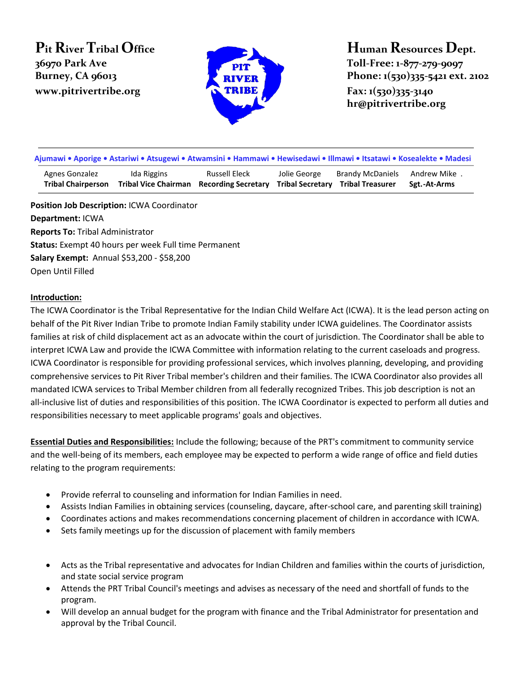# **Pit River Tribal Office 36970 Park Ave Burney, CA 96013 Phone: 1(530)335-5421 ext.** 2102 **www.pitrivertribe.org Fax: 1(530)335-3140**



# **Human Resources Dept. Toll-Free: 1-877-279-9097**

**hr@pitrivertribe.org**

| Ajumawi • Aporige • Astariwi • Atsugewi • Atwamsini • Hammawi • Hewisedawi • Illmawi • Itsatawi • Kosealekte • Madesi |                                            |                                             |                                         |                                                    |                                |
|-----------------------------------------------------------------------------------------------------------------------|--------------------------------------------|---------------------------------------------|-----------------------------------------|----------------------------------------------------|--------------------------------|
| Agnes Gonzalez<br><b>Tribal Chairperson</b>                                                                           | Ida Riggins<br><b>Tribal Vice Chairman</b> | Russell Eleck<br><b>Recording Secretary</b> | Jolie George<br><b>Tribal Secretary</b> | <b>Brandy McDaniels</b><br><b>Tribal Treasurer</b> | .  Andrew Mike<br>Sgt.-At-Arms |
| Position Job Description: ICWA Coordinator                                                                            |                                            |                                             |                                         |                                                    |                                |

**Department:** ICWA **Reports To:** Tribal Administrator **Status:** Exempt 40 hours per week Full time Permanent **Salary Exempt:** Annual \$53,200 - \$58,200 Open Until Filled

#### **Introduction:**

The ICWA Coordinator is the Tribal Representative for the Indian Child Welfare Act (ICWA). It is the lead person acting on behalf of the Pit River Indian Tribe to promote Indian Family stability under ICWA guidelines. The Coordinator assists families at risk of child displacement act as an advocate within the court of jurisdiction. The Coordinator shall be able to interpret ICWA Law and provide the ICWA Committee with information relating to the current caseloads and progress. ICWA Coordinator is responsible for providing professional services, which involves planning, developing, and providing comprehensive services to Pit River Tribal member's children and their families. The ICWA Coordinator also provides all mandated ICWA services to Tribal Member children from all federally recognized Tribes. This job description is not an all-inclusive list of duties and responsibilities of this position. The ICWA Coordinator is expected to perform all duties and responsibilities necessary to meet applicable programs' goals and objectives.

**Essential Duties and Responsibilities:** Include the following; because of the PRT's commitment to community service and the well-being of its members, each employee may be expected to perform a wide range of office and field duties relating to the program requirements:

- Provide referral to counseling and information for Indian Families in need.
- Assists Indian Families in obtaining services (counseling, daycare, after-school care, and parenting skill training)
- Coordinates actions and makes recommendations concerning placement of children in accordance with ICWA.
- Sets family meetings up for the discussion of placement with family members
- Acts as the Tribal representative and advocates for Indian Children and families within the courts of jurisdiction, and state social service program
- Attends the PRT Tribal Council's meetings and advises as necessary of the need and shortfall of funds to the program.
- Will develop an annual budget for the program with finance and the Tribal Administrator for presentation and approval by the Tribal Council.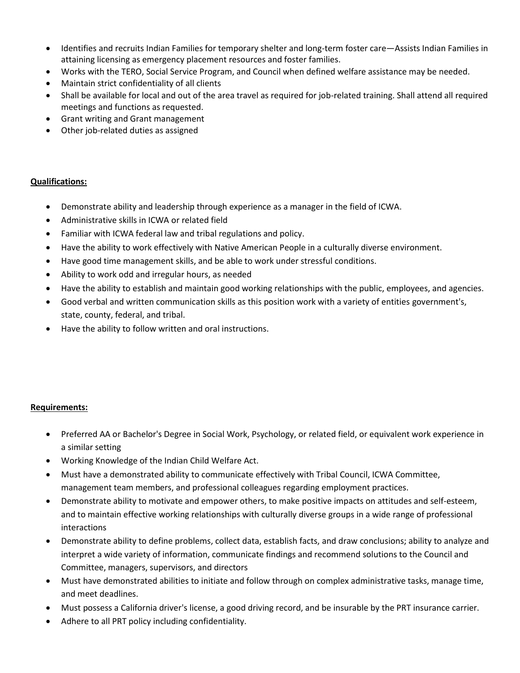- Identifies and recruits Indian Families for temporary shelter and long-term foster care—Assists Indian Families in attaining licensing as emergency placement resources and foster families.
- Works with the TERO, Social Service Program, and Council when defined welfare assistance may be needed.
- Maintain strict confidentiality of all clients
- Shall be available for local and out of the area travel as required for job-related training. Shall attend all required meetings and functions as requested.
- Grant writing and Grant management
- Other job-related duties as assigned

#### **Qualifications:**

- Demonstrate ability and leadership through experience as a manager in the field of ICWA.
- Administrative skills in ICWA or related field
- Familiar with ICWA federal law and tribal regulations and policy.
- Have the ability to work effectively with Native American People in a culturally diverse environment.
- Have good time management skills, and be able to work under stressful conditions.
- Ability to work odd and irregular hours, as needed
- Have the ability to establish and maintain good working relationships with the public, employees, and agencies.
- Good verbal and written communication skills as this position work with a variety of entities government's, state, county, federal, and tribal.
- Have the ability to follow written and oral instructions.

## **Requirements:**

- Preferred AA or Bachelor's Degree in Social Work, Psychology, or related field, or equivalent work experience in a similar setting
- Working Knowledge of the Indian Child Welfare Act.
- Must have a demonstrated ability to communicate effectively with Tribal Council, ICWA Committee, management team members, and professional colleagues regarding employment practices.
- Demonstrate ability to motivate and empower others, to make positive impacts on attitudes and self-esteem, and to maintain effective working relationships with culturally diverse groups in a wide range of professional interactions
- Demonstrate ability to define problems, collect data, establish facts, and draw conclusions; ability to analyze and interpret a wide variety of information, communicate findings and recommend solutions to the Council and Committee, managers, supervisors, and directors
- Must have demonstrated abilities to initiate and follow through on complex administrative tasks, manage time, and meet deadlines.
- Must possess a California driver's license, a good driving record, and be insurable by the PRT insurance carrier.
- Adhere to all PRT policy including confidentiality.